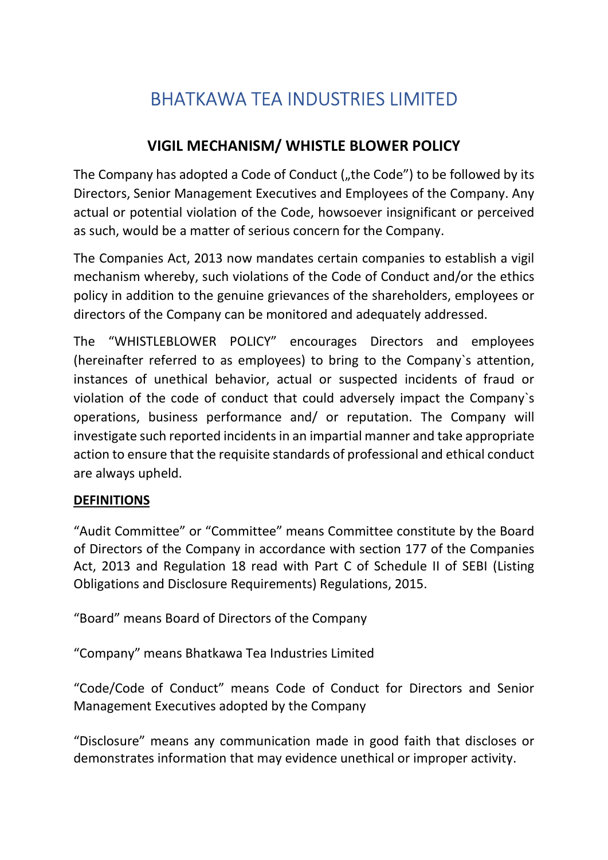# BHATKAWA TEA INDUSTRIES LIMITED

## VIGIL MECHANISM/ WHISTLE BLOWER POLICY

The Company has adopted a Code of Conduct ("the Code") to be followed by its Directors, Senior Management Executives and Employees of the Company. Any actual or potential violation of the Code, howsoever insignificant or perceived as such, would be a matter of serious concern for the Company.

The Companies Act, 2013 now mandates certain companies to establish a vigil mechanism whereby, such violations of the Code of Conduct and/or the ethics policy in addition to the genuine grievances of the shareholders, employees or directors of the Company can be monitored and adequately addressed.

The "WHISTLEBLOWER POLICY" encourages Directors and employees (hereinafter referred to as employees) to bring to the Company`s attention, instances of unethical behavior, actual or suspected incidents of fraud or violation of the code of conduct that could adversely impact the Company`s operations, business performance and/ or reputation. The Company will investigate such reported incidents in an impartial manner and take appropriate action to ensure that the requisite standards of professional and ethical conduct are always upheld.

## DEFINITIONS

"Audit Committee" or "Committee" means Committee constitute by the Board of Directors of the Company in accordance with section 177 of the Companies Act, 2013 and Regulation 18 read with Part C of Schedule II of SEBI (Listing Obligations and Disclosure Requirements) Regulations, 2015.

"Board" means Board of Directors of the Company

"Company" means Bhatkawa Tea Industries Limited

"Code/Code of Conduct" means Code of Conduct for Directors and Senior Management Executives adopted by the Company

"Disclosure" means any communication made in good faith that discloses or demonstrates information that may evidence unethical or improper activity.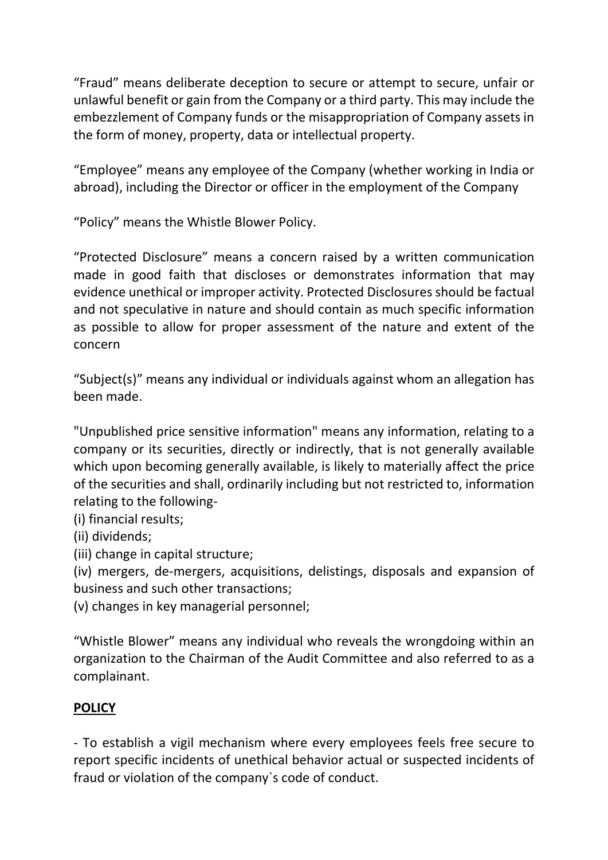"Fraud" means deliberate deception to secure or attempt to secure, unfair or unlawful benefit or gain from the Company or a third party. This may include the embezzlement of Company funds or the misappropriation of Company assets in the form of money, property, data or intellectual property.

"Employee" means any employee of the Company (whether working in India or abroad), including the Director or officer in the employment of the Company

"Policy" means the Whistle Blower Policy.

"Protected Disclosure" means a concern raised by a written communication made in good faith that discloses or demonstrates information that may evidence unethical or improper activity. Protected Disclosures should be factual and not speculative in nature and should contain as much specific information as possible to allow for proper assessment of the nature and extent of the concern

"Subject(s)" means any individual or individuals against whom an allegation has been made.

"Unpublished price sensitive information" means any information, relating to a company or its securities, directly or indirectly, that is not generally available which upon becoming generally available, is likely to materially affect the price of the securities and shall, ordinarily including but not restricted to, information relating to the following-

(i) financial results;

(ii) dividends;

(iii) change in capital structure;

(iv) mergers, de-mergers, acquisitions, delistings, disposals and expansion of business and such other transactions;

(v) changes in key managerial personnel;

"Whistle Blower" means any individual who reveals the wrongdoing within an organization to the Chairman of the Audit Committee and also referred to as a complainant.

## **POLICY**

- To establish a vigil mechanism where every employees feels free secure to report specific incidents of unethical behavior actual or suspected incidents of fraud or violation of the company`s code of conduct.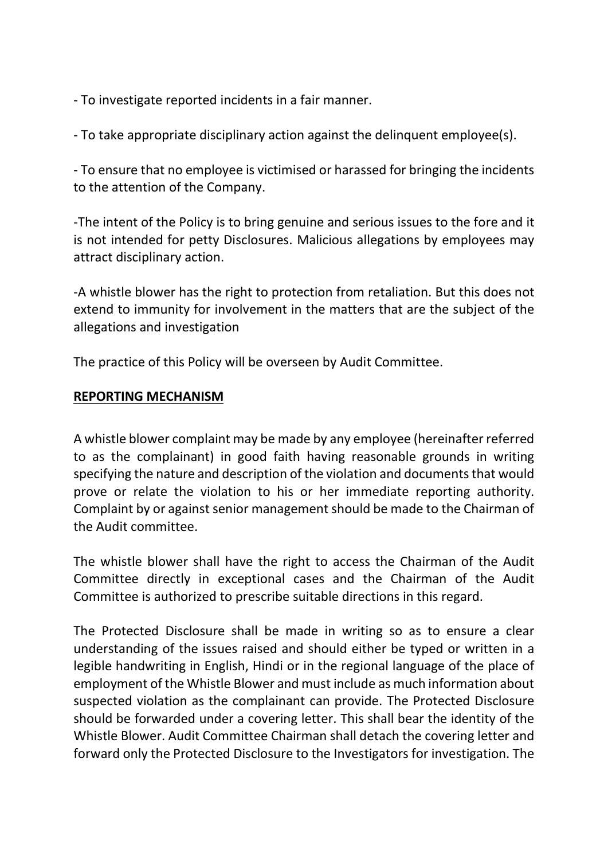- To investigate reported incidents in a fair manner.

- To take appropriate disciplinary action against the delinquent employee(s).

- To ensure that no employee is victimised or harassed for bringing the incidents to the attention of the Company.

-The intent of the Policy is to bring genuine and serious issues to the fore and it is not intended for petty Disclosures. Malicious allegations by employees may attract disciplinary action.

-A whistle blower has the right to protection from retaliation. But this does not extend to immunity for involvement in the matters that are the subject of the allegations and investigation

The practice of this Policy will be overseen by Audit Committee.

## REPORTING MECHANISM

A whistle blower complaint may be made by any employee (hereinafter referred to as the complainant) in good faith having reasonable grounds in writing specifying the nature and description of the violation and documents that would prove or relate the violation to his or her immediate reporting authority. Complaint by or against senior management should be made to the Chairman of the Audit committee.

The whistle blower shall have the right to access the Chairman of the Audit Committee directly in exceptional cases and the Chairman of the Audit Committee is authorized to prescribe suitable directions in this regard.

The Protected Disclosure shall be made in writing so as to ensure a clear understanding of the issues raised and should either be typed or written in a legible handwriting in English, Hindi or in the regional language of the place of employment of the Whistle Blower and must include as much information about suspected violation as the complainant can provide. The Protected Disclosure should be forwarded under a covering letter. This shall bear the identity of the Whistle Blower. Audit Committee Chairman shall detach the covering letter and forward only the Protected Disclosure to the Investigators for investigation. The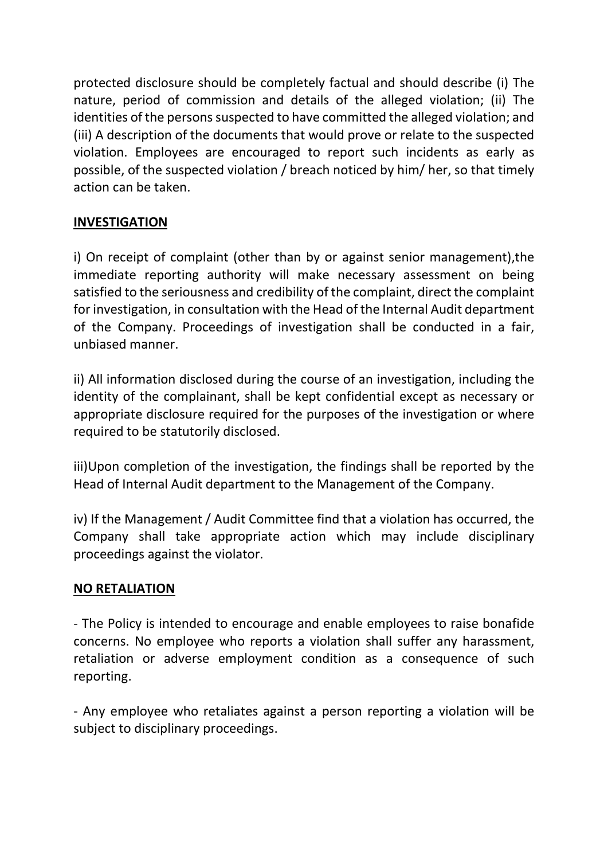protected disclosure should be completely factual and should describe (i) The nature, period of commission and details of the alleged violation; (ii) The identities of the persons suspected to have committed the alleged violation; and (iii) A description of the documents that would prove or relate to the suspected violation. Employees are encouraged to report such incidents as early as possible, of the suspected violation / breach noticed by him/ her, so that timely action can be taken.

## INVESTIGATION

i) On receipt of complaint (other than by or against senior management),the immediate reporting authority will make necessary assessment on being satisfied to the seriousness and credibility of the complaint, direct the complaint for investigation, in consultation with the Head of the Internal Audit department of the Company. Proceedings of investigation shall be conducted in a fair, unbiased manner.

ii) All information disclosed during the course of an investigation, including the identity of the complainant, shall be kept confidential except as necessary or appropriate disclosure required for the purposes of the investigation or where required to be statutorily disclosed.

iii)Upon completion of the investigation, the findings shall be reported by the Head of Internal Audit department to the Management of the Company.

iv) If the Management / Audit Committee find that a violation has occurred, the Company shall take appropriate action which may include disciplinary proceedings against the violator.

## NO RETALIATION

- The Policy is intended to encourage and enable employees to raise bonafide concerns. No employee who reports a violation shall suffer any harassment, retaliation or adverse employment condition as a consequence of such reporting.

- Any employee who retaliates against a person reporting a violation will be subject to disciplinary proceedings.